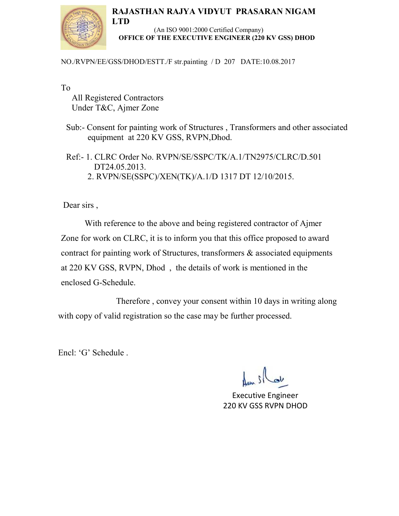## **RAJASTHAN RAJYA VIDYUT PRASARAN NIGAM**



 (An ISO 9001:2000 Certified Company) **OFFICE OF THE EXECUTIVE ENGINEER (220 KV GSS) DHOD** 

NO./RVPN/EE/GSS/DHOD/ESTT./F str.painting / D 207 DATE:10.08.2017

To

 All Registered Contractors Under T&C, Ajmer Zone

**LTD** 

 Sub:- Consent for painting work of Structures , Transformers and other associated equipment at 220 KV GSS, RVPN,Dhod.

 Ref:- 1. CLRC Order No. RVPN/SE/SSPC/TK/A.1/TN2975/CLRC/D.501 DT24.05.2013. 2. RVPN/SE(SSPC)/XEN(TK)/A.1/D 1317 DT 12/10/2015.

Dear sirs ,

 With reference to the above and being registered contractor of Ajmer Zone for work on CLRC, it is to inform you that this office proposed to award contract for painting work of Structures, transformers & associated equipments at 220 KV GSS, RVPN, Dhod , the details of work is mentioned in the enclosed G-Schedule.

 Therefore , convey your consent within 10 days in writing along with copy of valid registration so the case may be further processed.

Encl: 'G' Schedule .

Executive Engineer 220 KV GSS RVPN DHOD